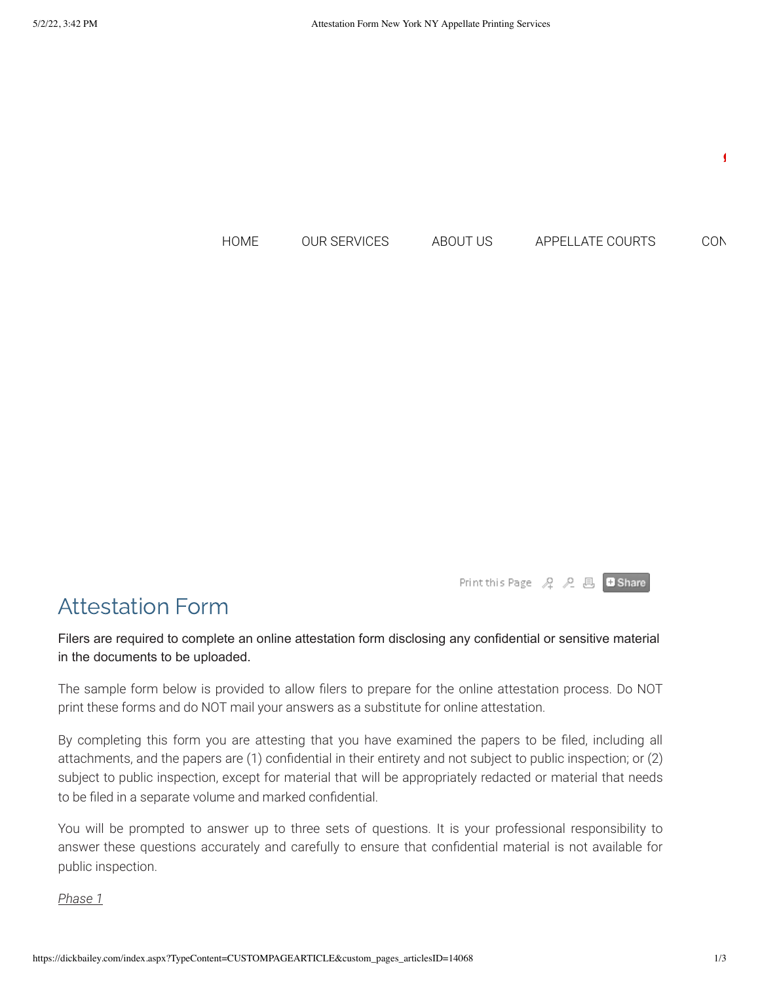

Print this Page  $A$   $A$   $B$   $B$   $B$  Share

# Attestation Form

Filers are required to complete an online attestation form disclosing any confidential or sensitive material in the documents to be uploaded.

The sample form below is provided to allow filers to prepare for the online attestation process. Do NOT print these forms and do NOT mail your answers as a substitute for online attestation.

By completing this form you are attesting that you have examined the papers to be filed, including all attachments, and the papers are (1) confidential in their entirety and not subject to public inspection; or (2) subject to public inspection, except for material that will be appropriately redacted or material that needs to be filed in a separate volume and marked confidential.

You will be prompted to answer up to three sets of questions. It is your professional responsibility to answer these questions accurately and carefully to ensure that confidential material is not available for public inspection.

#### *Phase 1*

 $\blacksquare$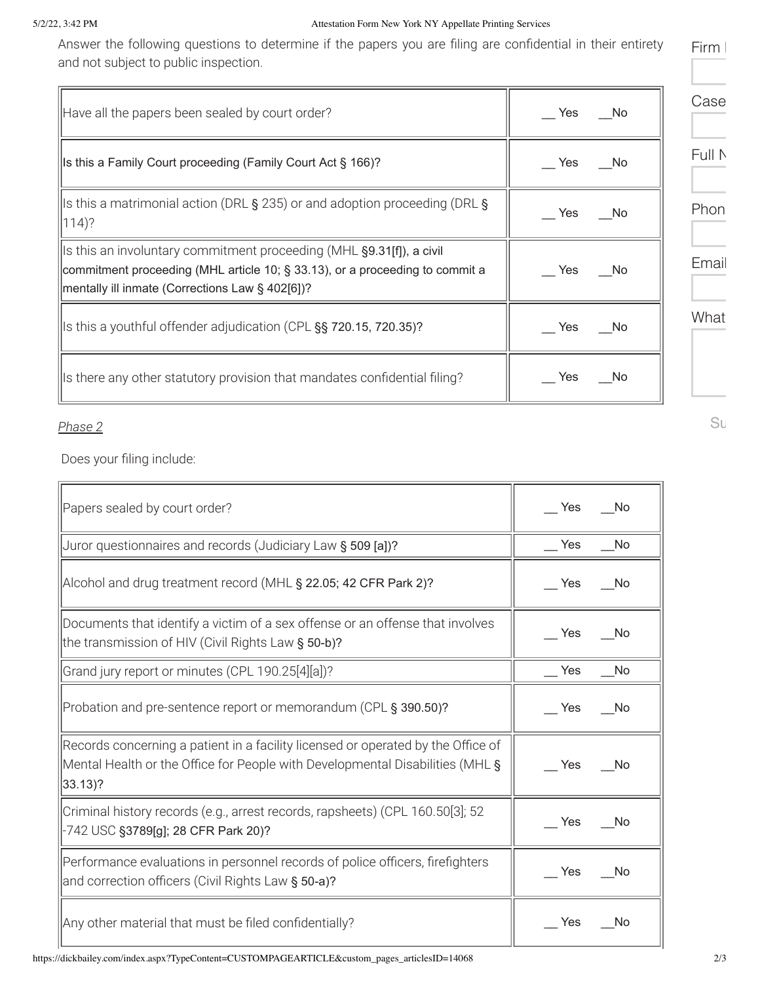#### 5/2/22, 3:42 PM Attestation Form New York NY Appellate Printing Services

Answer the following questions to determine if the papers you are filing are confidential in their entirety and not subject to public inspection.

| Have all the papers been sealed by court order?                                                                                                                                                         | Yes<br>- No | Case   |
|---------------------------------------------------------------------------------------------------------------------------------------------------------------------------------------------------------|-------------|--------|
| Is this a Family Court proceeding (Family Court Act § 166)?                                                                                                                                             | No.<br>Yes  | Full N |
| Is this a matrimonial action (DRL § 235) or and adoption proceeding (DRL §<br>$(114)$ ?                                                                                                                 | Yes<br>- No | Phon   |
| Is this an involuntary commitment proceeding (MHL §9.31[f]), a civil<br>commitment proceeding (MHL article 10; § 33.13), or a proceeding to commit a<br>mentally ill inmate (Corrections Law § 402[6])? | - No<br>Yes | Email  |
| Is this a youthful offender adjudication (CPL §§ 720.15, 720.35)?                                                                                                                                       | Yes<br>- No | What   |
| Is there any other statutory provision that mandates confidential filing?                                                                                                                               | Yes<br>- No |        |

 $\overline{\mathbf{r}}$ 

### *Phase 2*

 $\overline{\phantom{a}}$ 

Does your filing include:

| Papers sealed by court order?                                                                                                                                                 | Yes<br><b>No</b>        |
|-------------------------------------------------------------------------------------------------------------------------------------------------------------------------------|-------------------------|
| Juror questionnaires and records (Judiciary Law § 509 [a])?                                                                                                                   | $\mathsf{I}$ Yes<br>No. |
| Alcohol and drug treatment record (MHL § 22.05; 42 CFR Park 2)?                                                                                                               | Yes<br>- No             |
| Documents that identify a victim of a sex offense or an offense that involves<br>the transmission of HIV (Civil Rights Law § 50-b)?                                           | Yes<br>- No             |
| Grand jury report or minutes (CPL 190.25[4][a])?                                                                                                                              | Yes<br>No.              |
| Probation and pre-sentence report or memorandum (CPL § 390.50)?                                                                                                               | Yes<br>- No             |
| Records concerning a patient in a facility licensed or operated by the Office of<br>Mental Health or the Office for People with Developmental Disabilities (MHL §<br> 33.13 ? | - No<br>Yes             |
| Criminal history records (e.g., arrest records, rapsheets) (CPL 160.50[3]; 52<br>-742 USC §3789[g]; 28 CFR Park 20)?                                                          | Yes<br>- No             |
| Performance evaluations in personnel records of police officers, firefighters<br>and correction officers (Civil Rights Law § 50-a)?                                           | Yes<br>- No             |
| Any other material that must be filed confidentially?                                                                                                                         | Yes<br>No.              |

Su

 $\overline{\mathbf{u}}$